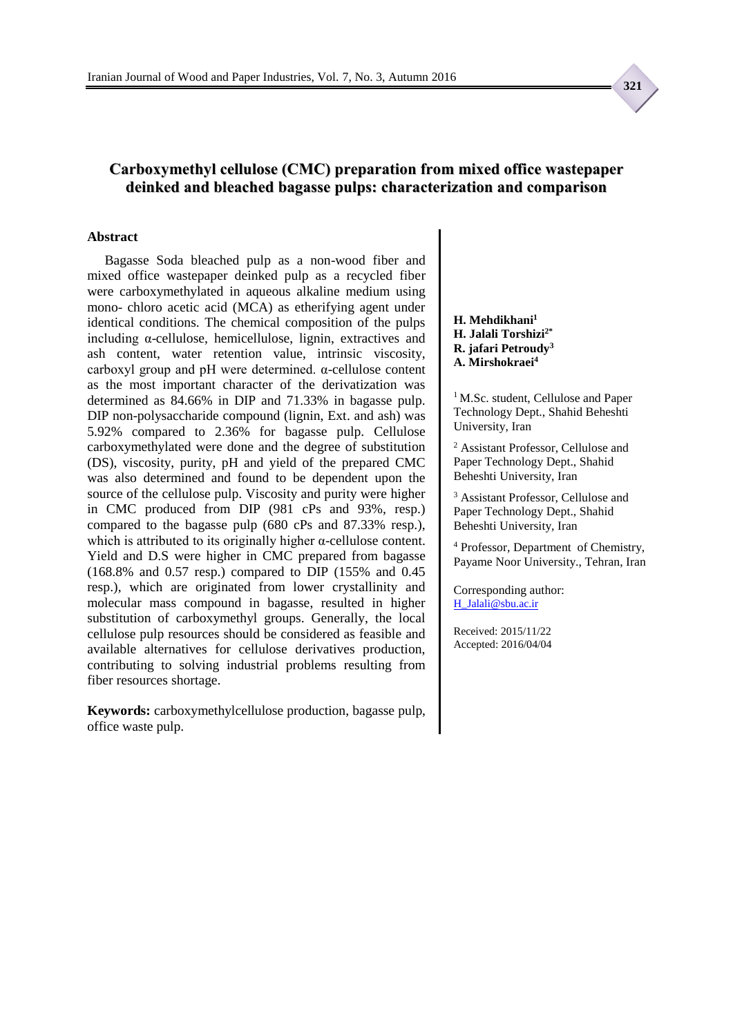### **Carboxymethyl cellulose (CMC) preparation from mixed office wastepaper deinked and bleached bagasse pulps: characterization and comparison**

#### **Abstract**

Bagasse Soda bleached pulp as a non-wood fiber and mixed office wastepaper deinked pulp as a recycled fiber were carboxymethylated in aqueous alkaline medium using mono- chloro acetic acid (MCA) as etherifying agent under identical conditions. The chemical composition of the pulps including  $\alpha$ -cellulose, hemicellulose, lignin, extractives and ash content, water retention value, intrinsic viscosity, carboxyl group and pH were determined. α-cellulose content as the most important character of the derivatization was determined as 84.66% in DIP and 71.33% in bagasse pulp. DIP non-polysaccharide compound (lignin, Ext. and ash) was 5.92% compared to 2.36% for bagasse pulp. Cellulose carboxymethylated were done and the degree of substitution (DS), viscosity, purity, pH and yield of the prepared CMC was also determined and found to be dependent upon the source of the cellulose pulp. Viscosity and purity were higher in CMC produced from DIP (981 cPs and 93%, resp.) compared to the bagasse pulp (680 cPs and 87.33% resp.), which is attributed to its originally higher  $\alpha$ -cellulose content. Yield and D.S were higher in CMC prepared from bagasse (168.8% and 0.57 resp.) compared to DIP (155% and 0.45 resp.), which are originated from lower crystallinity and molecular mass compound in bagasse, resulted in higher substitution of carboxymethyl groups. Generally, the local cellulose pulp resources should be considered as feasible and available alternatives for cellulose derivatives production, contributing to solving industrial problems resulting from fiber resources shortage.

**Keywords:** carboxymethylcellulose production, bagasse pulp, office waste pulp.

**H. Mehdikhani<sup>1</sup> H. Jalali Torshizi2\* R. jafari Petroudy<sup>3</sup> A. Mirshokraei<sup>4</sup>**

<sup>1</sup> M.Sc. student, Cellulose and Paper Technology Dept., Shahid Beheshti University, Iran

<sup>2</sup> Assistant Professor, Cellulose and Paper Technology Dept., Shahid Beheshti University, Iran

<sup>3</sup> Assistant Professor, Cellulose and Paper Technology Dept., Shahid Beheshti University, Iran

<sup>4</sup> Professor, Department of Chemistry, Payame Noor University., Tehran, Iran

Corresponding author: [H\\_Jalali@sbu.ac.ir](mailto:H_Jalali@sbu.ac.ir)

Received: 2015/11/22 Accepted: 2016/04/04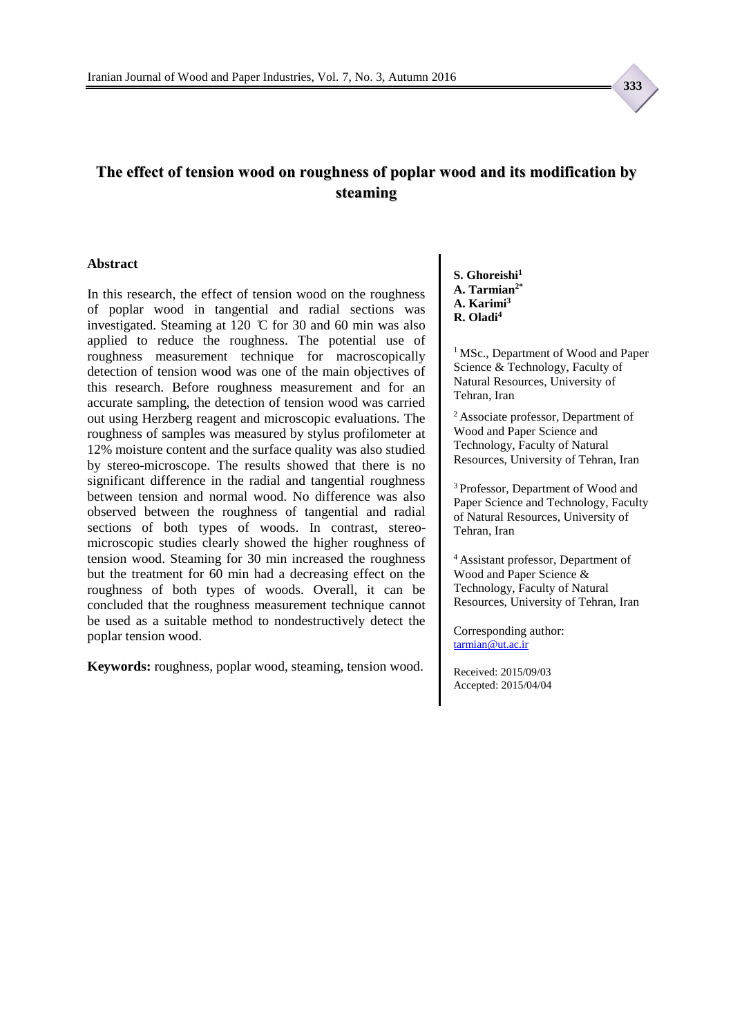## **The effect of tension wood on roughness of poplar wood and its modification by steaming**

#### **Abstract**

In this research, the effect of tension wood on the roughness of poplar wood in tangential and radial sections was investigated. Steaming at 120 ̊C for 30 and 60 min was also applied to reduce the roughness. The potential use of roughness measurement technique for macroscopically detection of tension wood was one of the main objectives of this research. Before roughness measurement and for an accurate sampling, the detection of tension wood was carried out using Herzberg reagent and microscopic evaluations. The roughness of samples was measured by stylus profilometer at 12% moisture content and the surface quality was also studied by stereo-microscope. The results showed that there is no significant difference in the radial and tangential roughness between tension and normal wood. No difference was also observed between the roughness of tangential and radial sections of both types of woods. In contrast, stereomicroscopic studies clearly showed the higher roughness of tension wood. Steaming for 30 min increased the roughness but the treatment for 60 min had a decreasing effect on the roughness of both types of woods. Overall, it can be concluded that the roughness measurement technique cannot be used as a suitable method to nondestructively detect the poplar tension wood.

**Keywords:** roughness, poplar wood, steaming, tension wood.

**S. Ghoreishi<sup>1</sup> A. Tarmian2\* A. Karimi<sup>3</sup> R. Oladi<sup>4</sup>**

<sup>1</sup> MSc., Department of Wood and Paper Science & Technology, Faculty of Natural Resources, University of Tehran, Iran

<sup>2</sup>Associate professor, Department of Wood and Paper Science and Technology, Faculty of Natural Resources, University of Tehran, Iran

<sup>3</sup> Professor, Department of Wood and Paper Science and Technology, Faculty of Natural Resources, University of Tehran, Iran

<sup>4</sup>Assistant professor, Department of Wood and Paper Science & Technology, Faculty of Natural Resources, University of Tehran, Iran

Corresponding author: [tarmian@ut.ac.ir](mailto:tarmian@ut.ac.ir)

Received: 2015/09/03 Accepted: 2015/04/04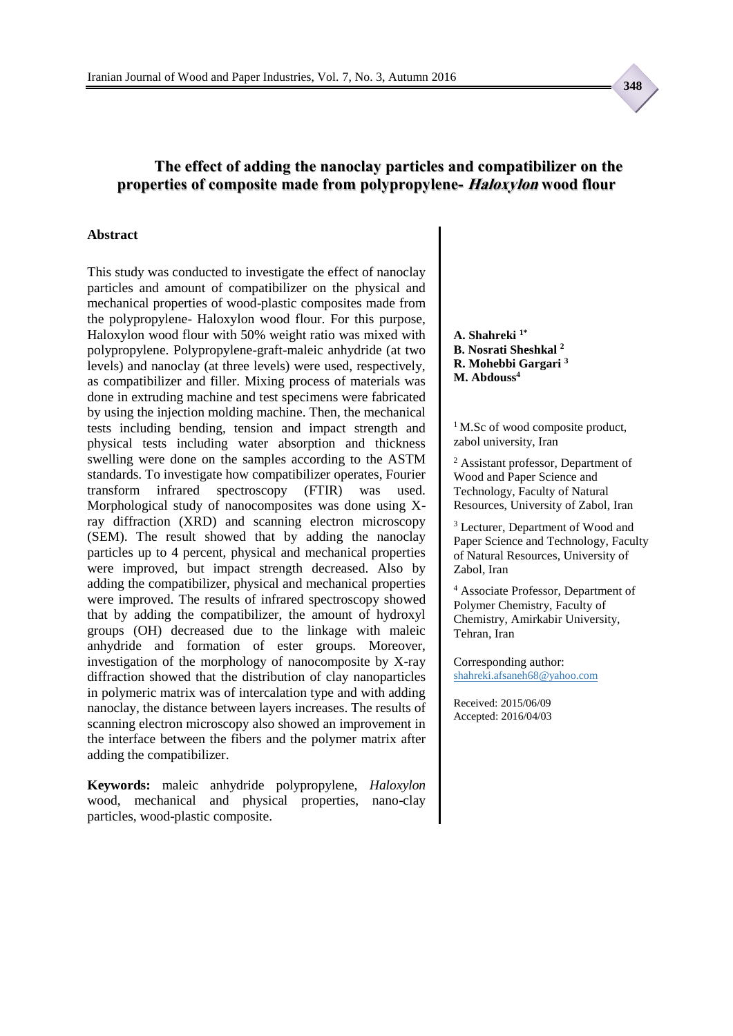### **The effect of adding the nanoclay particles and compatibilizer on the properties of composite made from polypropylene- Haloxylon wood flour**

#### **Abstract**

This study was conducted to investigate the effect of nanoclay particles and amount of compatibilizer on the physical and mechanical properties of wood-plastic composites made from the polypropylene- Haloxylon wood flour. For this purpose, Haloxylon wood flour with 50% weight ratio was mixed with polypropylene. Polypropylene-graft-maleic anhydride (at two levels) and nanoclay (at three levels) were used, respectively, as compatibilizer and filler. Mixing process of materials was done in extruding machine and test specimens were fabricated by using the injection molding machine. Then, the mechanical tests including bending, tension and impact strength and physical tests including water absorption and thickness swelling were done on the samples according to the ASTM standards. To investigate how compatibilizer operates, Fourier transform infrared spectroscopy (FTIR) was used. Morphological study of nanocomposites was done using Xray diffraction (XRD) and scanning electron microscopy (SEM). The result showed that by adding the nanoclay particles up to 4 percent, physical and mechanical properties were improved, but impact strength decreased. Also by adding the compatibilizer, physical and mechanical properties were improved. The results of infrared spectroscopy showed that by adding the compatibilizer, the amount of hydroxyl groups (OH) decreased due to the linkage with maleic anhydride and formation of ester groups. Moreover, investigation of the morphology of nanocomposite by X-ray diffraction showed that the distribution of clay nanoparticles in polymeric matrix was of intercalation type and with adding nanoclay, the distance between layers increases. The results of scanning electron microscopy also showed an improvement in the interface between the fibers and the polymer matrix after adding the compatibilizer.

**Keywords:** maleic anhydride polypropylene, *Haloxylon* wood, mechanical and physical properties, nano-clay particles, wood-plastic composite.

**A. Shahreki 1\* B. Nosrati Sheshkal <sup>2</sup> R. Mohebbi Gargari <sup>3</sup> M. Abdouss<sup>4</sup>**

<sup>1</sup>M.Sc of wood composite product, zabol university, Iran

<sup>2</sup> Assistant professor, Department of Wood and Paper Science and Technology, Faculty of Natural Resources, University of Zabol, Iran

<sup>3</sup> Lecturer, Department of Wood and Paper Science and Technology, Faculty of Natural Resources, University of Zabol, Iran

<sup>4</sup> Associate Professor, Department of Polymer Chemistry, Faculty of Chemistry, Amirkabir University, Tehran, Iran

Corresponding author: shahreki.afsaneh68@yahoo.com

Received: 2015/06/09 Accepted: 2016/04/03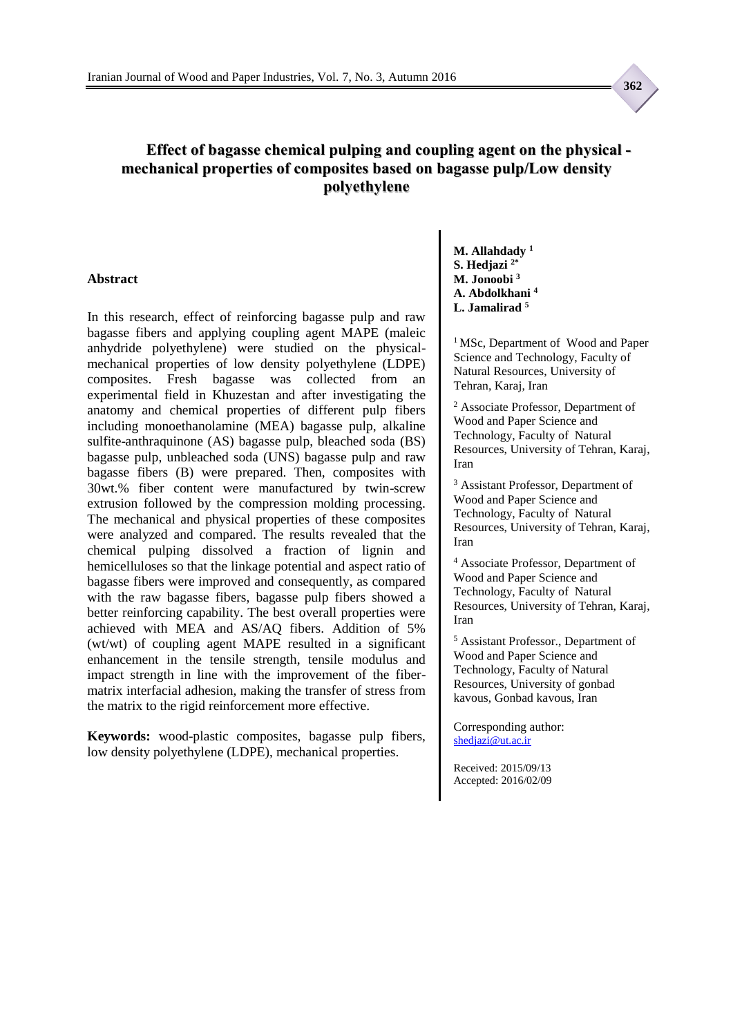### **Effect of bagasse chemical pulping and coupling agent on the physical mechanical properties of composites based on bagasse pulp/Low density polyethylene**

### **Abstract**

In this research, effect of reinforcing bagasse pulp and raw bagasse fibers and applying coupling agent MAPE (maleic anhydride polyethylene) were studied on the physicalmechanical properties of low density polyethylene (LDPE) composites. Fresh bagasse was collected from an experimental field in Khuzestan and after investigating the anatomy and chemical properties of different pulp fibers including monoethanolamine (MEA) bagasse pulp, alkaline sulfite-anthraquinone (AS) bagasse pulp, bleached soda (BS) bagasse pulp, unbleached soda (UNS) bagasse pulp and raw bagasse fibers (B) were prepared. Then, composites with 30wt.% fiber content were manufactured by twin-screw extrusion followed by the compression molding processing. The mechanical and physical properties of these composites were analyzed and compared. The results revealed that the chemical pulping dissolved a fraction of lignin and hemicelluloses so that the linkage potential and aspect ratio of bagasse fibers were improved and consequently, as compared with the raw bagasse fibers, bagasse pulp fibers showed a better reinforcing capability. The best overall properties were achieved with MEA and AS/AQ fibers. Addition of 5% (wt/wt) of coupling agent MAPE resulted in a significant enhancement in the tensile strength, tensile modulus and impact strength in line with the improvement of the fibermatrix interfacial adhesion, making the transfer of stress from the matrix to the rigid reinforcement more effective.

**Keywords:** wood-plastic composites, bagasse pulp fibers, low density polyethylene (LDPE), mechanical properties.

**M. Allahdady <sup>1</sup> S. Hedjazi 2\* M. Jonoobi <sup>3</sup> A. Abdolkhani <sup>4</sup> L. Jamalirad <sup>5</sup>**

<sup>1</sup> MSc, Department of Wood and Paper Science and Technology, Faculty of Natural Resources, University of Tehran, Karaj, Iran

<sup>2</sup> Associate Professor, Department of Wood and Paper Science and Technology, Faculty of Natural Resources, University of Tehran, Karaj, Iran

<sup>3</sup> Assistant Professor, Department of Wood and Paper Science and Technology, Faculty of Natural Resources, University of Tehran, Karaj, Iran

<sup>4</sup> Associate Professor, Department of Wood and Paper Science and Technology, Faculty of Natural Resources, University of Tehran, Karaj, Iran

<sup>5</sup> Assistant Professor., Department of Wood and Paper Science and Technology, Faculty of Natural Resources, University of gonbad kavous, Gonbad kavous, Iran

Corresponding author: [shedjazi@ut.ac.ir](mailto:shedjazi@ut.ac.ir)

Received: 2015/09/13 Accepted: 2016/02/09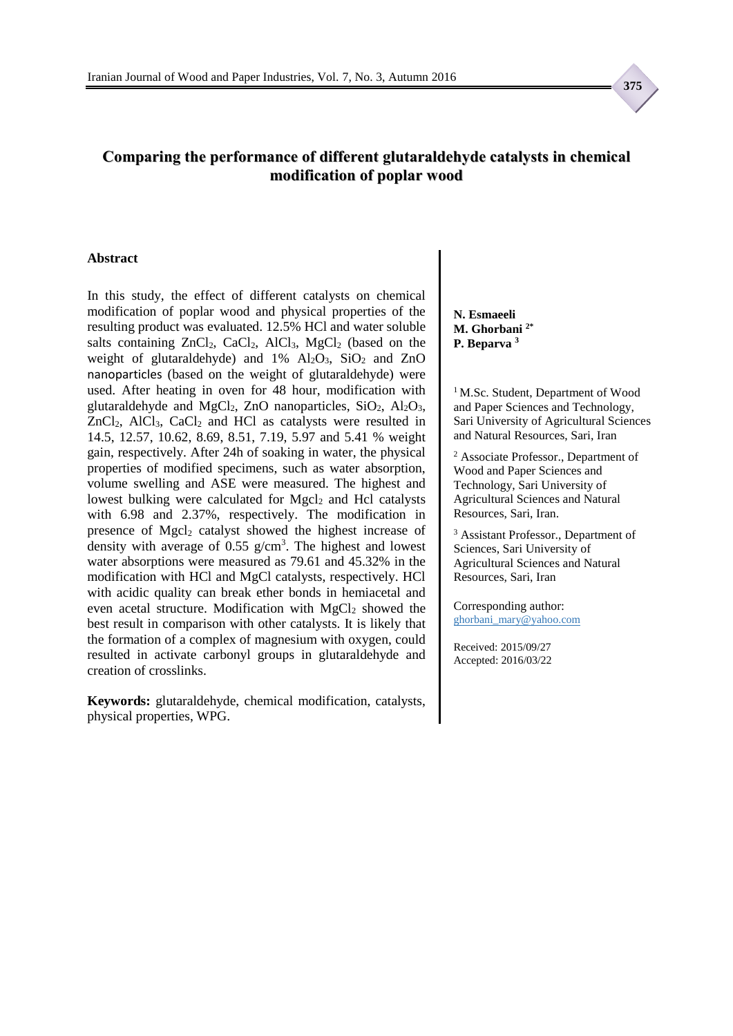### **Comparing the performance of different glutaraldehyde catalysts in chemical modification of poplar wood**

#### **Abstract**

In this study, the effect of different catalysts on chemical modification of poplar wood and physical properties of the resulting product was evaluated. 12.5% HCl and water soluble salts containing ZnCl<sub>2</sub>, CaCl<sub>2</sub>, AlCl<sub>3</sub>, MgCl<sub>2</sub> (based on the weight of glutaraldehyde) and  $1\%$  Al<sub>2</sub>O<sub>3</sub>, SiO<sub>2</sub> and ZnO nanoparticles (based on the weight of glutaraldehyde) were used. After heating in oven for 48 hour, modification with glutaraldehyde and MgCl<sub>2</sub>, ZnO nanoparticles, SiO<sub>2</sub>, Al<sub>2</sub>O<sub>3</sub>,  $ZnCl<sub>2</sub>$ , AlCl<sub>3</sub>, CaCl<sub>2</sub> and HCl as catalysts were resulted in 14.5, 12.57, 10.62, 8.69, 8.51, 7.19, 5.97 and 5.41 % weight gain, respectively. After 24h of soaking in water, the physical properties of modified specimens, such as water absorption, volume swelling and ASE were measured. The highest and lowest bulking were calculated for Mgcl<sub>2</sub> and Hcl catalysts with 6.98 and 2.37%, respectively. The modification in presence of Mgcl<sub>2</sub> catalyst showed the highest increase of density with average of  $0.55$  g/cm<sup>3</sup>. The highest and lowest water absorptions were measured as 79.61 and 45.32% in the modification with HCl and MgCl catalysts, respectively. HCl with acidic quality can break ether bonds in hemiacetal and even acetal structure. Modification with MgCl<sub>2</sub> showed the best result in comparison with other catalysts. It is likely that the formation of a complex of magnesium with oxygen, could resulted in activate carbonyl groups in glutaraldehyde and creation of crosslinks.

**Keywords:** glutaraldehyde, chemical modification, catalysts, physical properties, WPG.

**N. Esmaeeli M. Ghorbani 2\* P. Beparva <sup>3</sup>**

<sup>1</sup> M.Sc. Student, Department of Wood and Paper Sciences and Technology, Sari University of Agricultural Sciences and Natural Resources, Sari, Iran

<sup>2</sup> Associate Professor., Department of Wood and Paper Sciences and Technology, Sari University of Agricultural Sciences and Natural Resources, Sari, Iran.

<sup>3</sup> Assistant Professor., Department of Sciences, Sari University of Agricultural Sciences and Natural Resources, Sari, Iran

Corresponding author: ghorbani\_mary@yahoo.com

Received: 2015/09/27 Accepted: 2016/03/22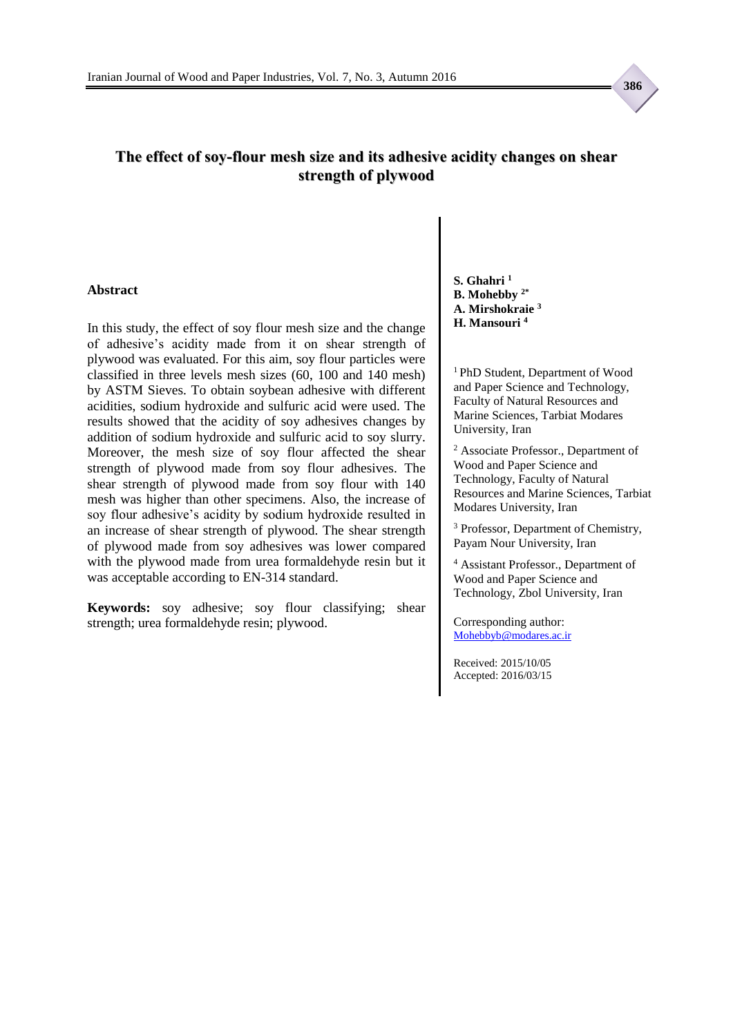### **The effect of soy-flour mesh size and its adhesive acidity changes on shear strength of plywood**

#### **Abstract**

In this study, the effect of soy flour mesh size and the change of adhesive's acidity made from it on shear strength of plywood was evaluated. For this aim, soy flour particles were classified in three levels mesh sizes (60, 100 and 140 mesh) by ASTM Sieves. To obtain soybean adhesive with different acidities, sodium hydroxide and sulfuric acid were used. The results showed that the acidity of soy adhesives changes by addition of sodium hydroxide and sulfuric acid to soy slurry. Moreover, the mesh size of soy flour affected the shear strength of plywood made from soy flour adhesives. The shear strength of plywood made from soy flour with 140 mesh was higher than other specimens. Also, the increase of soy flour adhesive's acidity by sodium hydroxide resulted in an increase of shear strength of plywood. The shear strength of plywood made from soy adhesives was lower compared with the plywood made from urea formaldehyde resin but it was acceptable according to EN-314 standard.

**Keywords:** soy adhesive; soy flour classifying; shear strength; urea formaldehyde resin; plywood.

**S. Ghahri <sup>1</sup> B. Mohebby 2\* A. Mirshokraie <sup>3</sup> H. Mansouri <sup>4</sup>**

<sup>1</sup>PhD Student, Department of Wood and Paper Science and Technology, Faculty of Natural Resources and Marine Sciences, Tarbiat Modares University, Iran

<sup>2</sup> Associate Professor., Department of Wood and Paper Science and Technology, Faculty of Natural Resources and Marine Sciences, Tarbiat Modares University, Iran

<sup>3</sup> Professor, Department of Chemistry, Payam Nour University, Iran

<sup>4</sup> Assistant Professor., Department of Wood and Paper Science and Technology, Zbol University, Iran

Corresponding author: [Mohebbyb@modares.ac.ir](mailto:Mohebbyb@modares.ac.ir)

Received: 2015/10/05 Accepted: 2016/03/15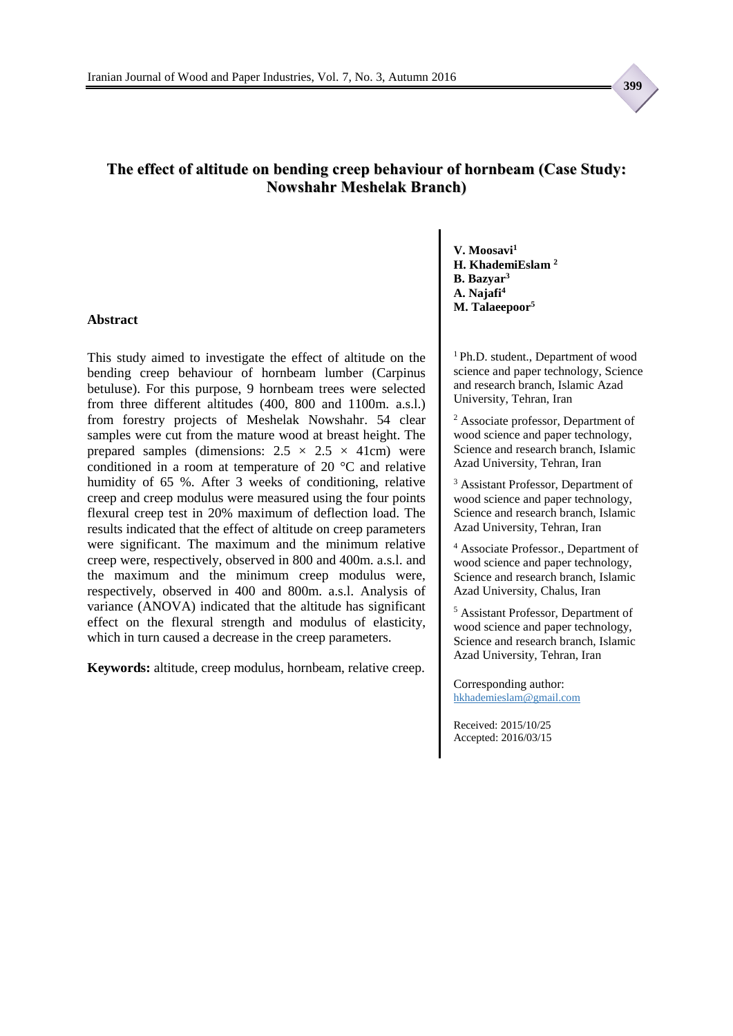### **The effect of altitude on bending creep behaviour of hornbeam (Case Study: Nowshahr Meshelak Branch)**

#### **Abstract**

This study aimed to investigate the effect of altitude on the bending creep behaviour of hornbeam lumber (Carpinus betuluse). For this purpose, 9 hornbeam trees were selected from three different altitudes (400, 800 and 1100m. a.s.l.) from forestry projects of Meshelak Nowshahr. 54 clear samples were cut from the mature wood at breast height. The prepared samples (dimensions:  $2.5 \times 2.5 \times 41$ cm) were conditioned in a room at temperature of 20 °C and relative humidity of 65 %. After 3 weeks of conditioning, relative creep and creep modulus were measured using the four points flexural creep test in 20% maximum of deflection load. The results indicated that the effect of altitude on creep parameters were significant. The maximum and the minimum relative creep were, respectively, observed in 800 and 400m. a.s.l. and the maximum and the minimum creep modulus were, respectively, observed in 400 and 800m. a.s.l. Analysis of variance (ANOVA) indicated that the altitude has significant effect on the flexural strength and modulus of elasticity, which in turn caused a decrease in the creep parameters.

**Keywords:** altitude, creep modulus, hornbeam, relative creep.

**V. Moosavi<sup>1</sup> H. KhademiEslam <sup>2</sup> B. Bazyar<sup>3</sup> A. Najafi<sup>4</sup> M. Talaeepoor<sup>5</sup>**

<sup>1</sup> Ph.D. student., Department of wood science and paper technology, Science and research branch, Islamic Azad University, Tehran, Iran

<sup>2</sup> Associate professor, Department of wood science and paper technology, Science and research branch, Islamic Azad University, Tehran, Iran

<sup>3</sup> Assistant Professor, Department of wood science and paper technology, Science and research branch, Islamic Azad University, Tehran, Iran

<sup>4</sup> Associate Professor., Department of wood science and paper technology, Science and research branch, Islamic Azad University, Chalus, Iran

<sup>5</sup> Assistant Professor, Department of wood science and paper technology, Science and research branch, Islamic Azad University, Tehran, Iran

Corresponding author: hkhademieslam@gmail.com

Received: 2015/10/25 Accepted: 2016/03/15

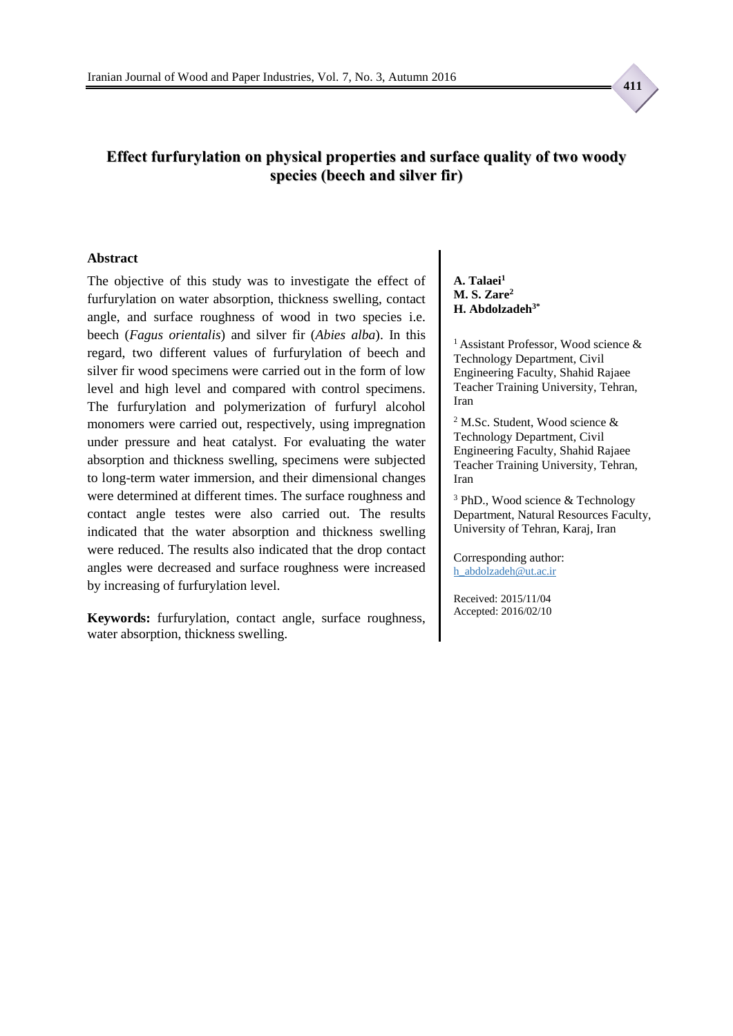

### **Effect furfurylation on physical properties and surface quality of two woody species (beech and silver fir)**

#### **Abstract**

The objective of this study was to investigate the effect of furfurylation on water absorption, thickness swelling, contact angle, and surface roughness of wood in two species i.e. beech (*Fagus orientalis*) and silver fir (*Abies alba*). In this regard, two different values of furfurylation of beech and silver fir wood specimens were carried out in the form of low level and high level and compared with control specimens. The furfurylation and polymerization of furfuryl alcohol monomers were carried out, respectively, using impregnation under pressure and heat catalyst. For evaluating the water absorption and thickness swelling, specimens were subjected to long-term water immersion, and their dimensional changes were determined at different times. The surface roughness and contact angle testes were also carried out. The results indicated that the water absorption and thickness swelling were reduced. The results also indicated that the drop contact angles were decreased and surface roughness were increased by increasing of furfurylation level.

**Keywords:** furfurylation, contact angle, surface roughness, water absorption, thickness swelling.

**A. Talaei<sup>1</sup> M. S. Zare<sup>2</sup> H. Abdolzadeh3\***

<sup>1</sup> Assistant Professor, Wood science  $\&$ Technology Department, Civil Engineering Faculty, Shahid Rajaee Teacher Training University, Tehran, Iran

<sup>2</sup> M.Sc. Student, Wood science & Technology Department, Civil Engineering Faculty, Shahid Rajaee Teacher Training University, Tehran, Iran

<sup>3</sup> PhD., Wood science & Technology Department, Natural Resources Faculty, University of Tehran, Karaj, Iran

Corresponding author: h\_abdolzadeh@ut.ac.ir

Received: 2015/11/04 Accepted: 2016/02/10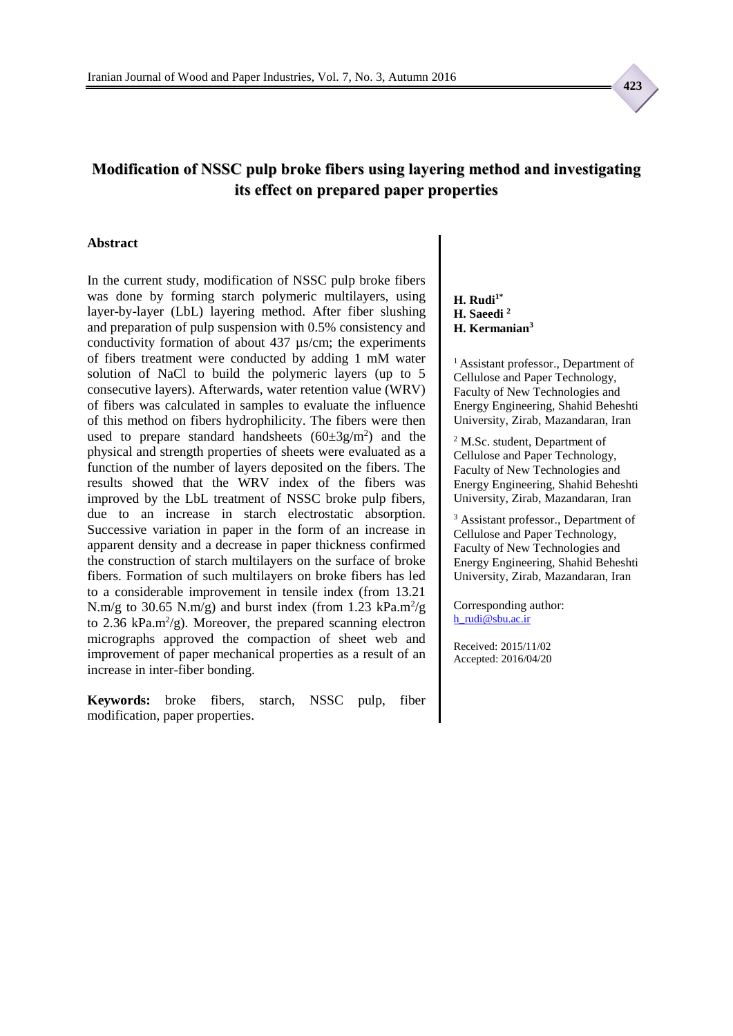## **Modification of NSSC pulp broke fibers using layering method and investigating its effect on prepared paper properties**

#### **Abstract**

In the current study, modification of NSSC pulp broke fibers was done by forming starch polymeric multilayers, using layer-by-layer (LbL) layering method. After fiber slushing and preparation of pulp suspension with 0.5% consistency and conductivity formation of about 437 µs/cm; the experiments of fibers treatment were conducted by adding 1 mM water solution of NaCl to build the polymeric layers (up to 5 consecutive layers). Afterwards, water retention value (WRV) of fibers was calculated in samples to evaluate the influence of this method on fibers hydrophilicity. The fibers were then used to prepare standard handsheets  $(60\pm3g/m^2)$  and the physical and strength properties of sheets were evaluated as a function of the number of layers deposited on the fibers. The results showed that the WRV index of the fibers was improved by the LbL treatment of NSSC broke pulp fibers, due to an increase in starch electrostatic absorption. Successive variation in paper in the form of an increase in apparent density and a decrease in paper thickness confirmed the construction of starch multilayers on the surface of broke fibers. Formation of such multilayers on broke fibers has led to a considerable improvement in tensile index (from 13.21 N.m/g to 30.65 N.m/g) and burst index (from 1.23 kPa.m<sup>2</sup>/g to 2.36 kPa.m<sup>2</sup>/g). Moreover, the prepared scanning electron micrographs approved the compaction of sheet web and improvement of paper mechanical properties as a result of an increase in inter-fiber bonding.

**Keywords:** broke fibers, starch, NSSC pulp, fiber modification, paper properties.

**H. Rudi1\* H. Saeedi <sup>2</sup> H. Kermanian<sup>3</sup>**

<sup>1</sup> Assistant professor., Department of Cellulose and Paper Technology, Faculty of New Technologies and Energy Engineering, Shahid Beheshti University, Zirab, Mazandaran, Iran

<sup>2</sup> M.Sc. student, Department of Cellulose and Paper Technology, Faculty of New Technologies and Energy Engineering, Shahid Beheshti University, Zirab, Mazandaran, Iran

<sup>3</sup> Assistant professor., Department of Cellulose and Paper Technology, Faculty of New Technologies and Energy Engineering, Shahid Beheshti University, Zirab, Mazandaran, Iran

Corresponding author: [h\\_rudi@sbu.ac.ir](mailto:h_rudi@sbu.ac.ir)

Received: 2015/11/02 Accepted: 2016/04/20  **423**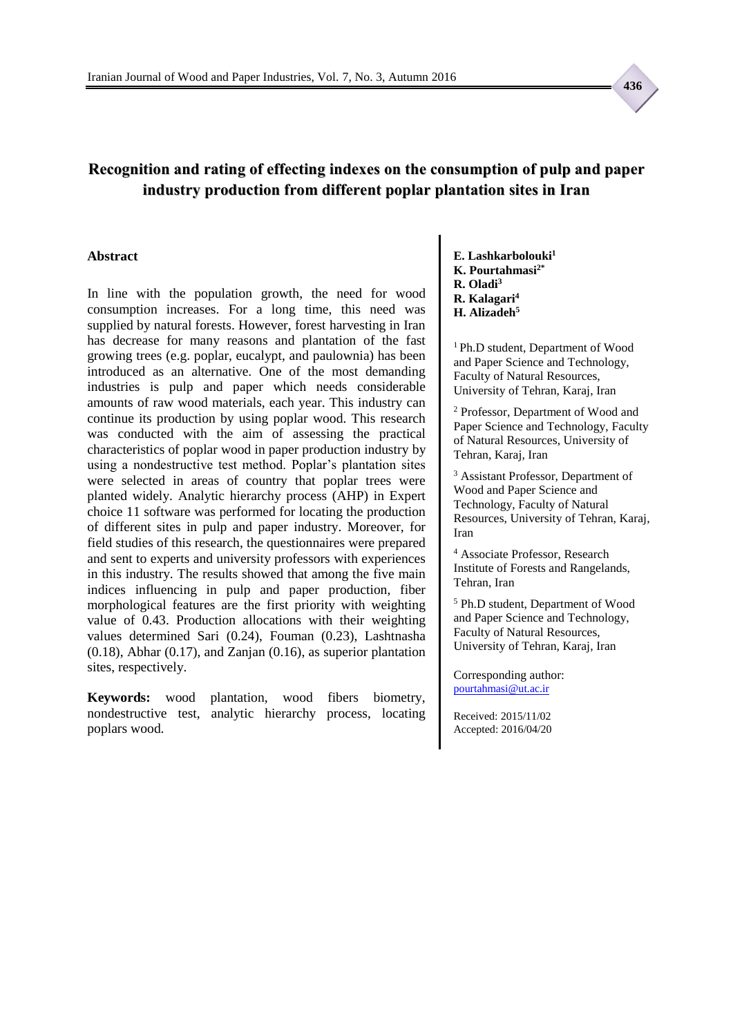## **Recognition and rating of effecting indexes on the consumption of pulp and paper industry production from different poplar plantation sites in Iran**

#### **Abstract**

In line with the population growth, the need for wood consumption increases. For a long time, this need was supplied by natural forests. However, forest harvesting in Iran has decrease for many reasons and plantation of the fast growing trees (e.g. poplar, eucalypt, and paulownia) has been introduced as an alternative. One of the most demanding industries is pulp and paper which needs considerable amounts of raw wood materials, each year. This industry can continue its production by using poplar wood. This research was conducted with the aim of assessing the practical characteristics of poplar wood in paper production industry by using a nondestructive test method. Poplar's plantation sites were selected in areas of country that poplar trees were planted widely. Analytic hierarchy process (AHP) in Expert choice 11 software was performed for locating the production of different sites in pulp and paper industry. Moreover, for field studies of this research, the questionnaires were prepared and sent to experts and university professors with experiences in this industry. The results showed that among the five main indices influencing in pulp and paper production, fiber morphological features are the first priority with weighting value of 0.43. Production allocations with their weighting values determined Sari (0.24), Fouman (0.23), Lashtnasha (0.18), Abhar (0.17), and Zanjan (0.16), as superior plantation sites, respectively.

**Keywords:** wood plantation, wood fibers biometry, nondestructive test, analytic hierarchy process, locating poplars wood.

**E. Lashkarbolouki<sup>1</sup> K. Pourtahmasi2\* R. Oladi<sup>3</sup>**

- **R. Kalagari<sup>4</sup>**
- **H. Alizadeh<sup>5</sup>**

<sup>1</sup>Ph.D student, Department of Wood and Paper Science and Technology, Faculty of Natural Resources, University of Tehran, Karaj, Iran

<sup>2</sup> Professor, Department of Wood and Paper Science and Technology, Faculty of Natural Resources, University of Tehran, Karaj, Iran

<sup>3</sup> Assistant Professor, Department of Wood and Paper Science and Technology, Faculty of Natural Resources, University of Tehran, Karaj, Iran

<sup>4</sup> Associate Professor, Research Institute of Forests and Rangelands, Tehran, Iran

<sup>5</sup> Ph.D student, Department of Wood and Paper Science and Technology, Faculty of Natural Resources, University of Tehran, Karaj, Iran

Corresponding author: [pourtahmasi@ut.ac.ir](mailto:pourtahmasi@ut.ac.ir)

Received: 2015/11/02 Accepted: 2016/04/20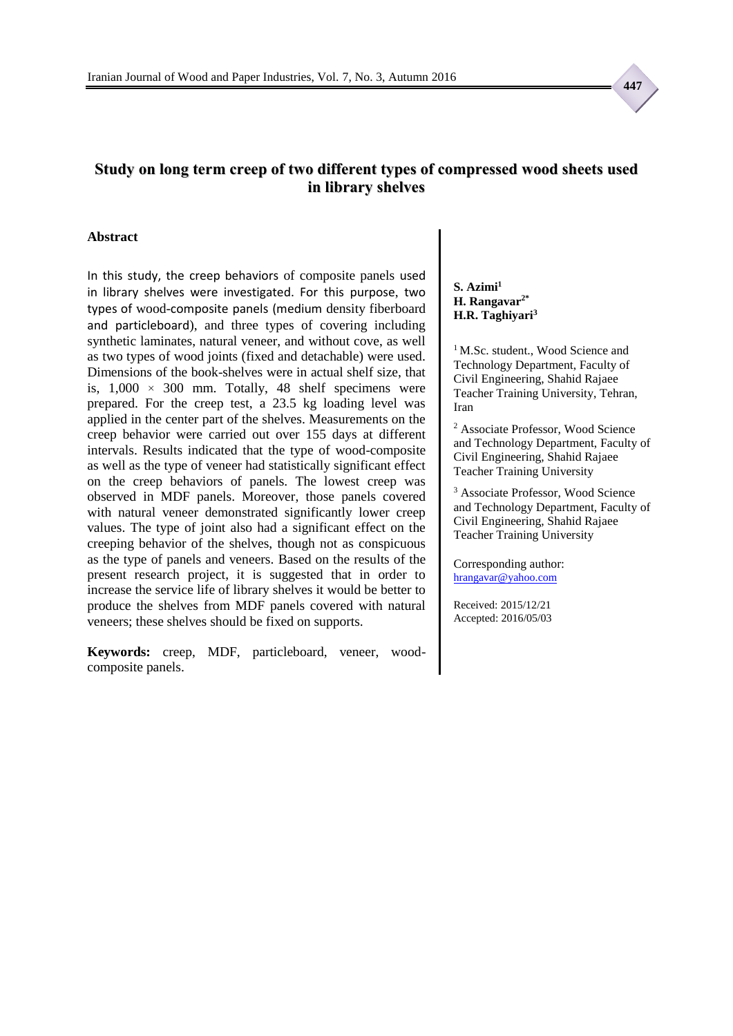### **Study on long term creep of two different types of compressed wood sheets used in library shelves**

#### **Abstract**

In this study, the creep behaviors of composite panels used in library shelves were investigated. For this purpose, two types of wood-composite panels (medium density fiberboard and particleboard), and three types of covering including synthetic laminates, natural veneer, and without cove, as well as two types of wood joints (fixed and detachable) were used. Dimensions of the book-shelves were in actual shelf size, that is,  $1,000 \times 300$  mm. Totally, 48 shelf specimens were prepared. For the creep test, a 23.5 kg loading level was applied in the center part of the shelves. Measurements on the creep behavior were carried out over 155 days at different intervals. Results indicated that the type of wood-composite as well as the type of veneer had statistically significant effect on the creep behaviors of panels. The lowest creep was observed in MDF panels. Moreover, those panels covered with natural veneer demonstrated significantly lower creep values. The type of joint also had a significant effect on the creeping behavior of the shelves, though not as conspicuous as the type of panels and veneers. Based on the results of the present research project, it is suggested that in order to increase the service life of library shelves it would be better to produce the shelves from MDF panels covered with natural veneers; these shelves should be fixed on supports.

**Keywords:** creep, MDF, particleboard, veneer, woodcomposite panels.

**S. Azimi<sup>1</sup> H. Rangavar2\* H.R. Taghiyari<sup>3</sup>**

<sup>1</sup> M.Sc. student., Wood Science and Technology Department, Faculty of Civil Engineering, Shahid Rajaee Teacher Training University, Tehran, Iran

<sup>2</sup> Associate Professor, Wood Science and Technology Department, Faculty of Civil Engineering, Shahid Rajaee Teacher Training University

<sup>3</sup> Associate Professor, Wood Science and Technology Department, Faculty of Civil Engineering, Shahid Rajaee Teacher Training University

Corresponding author: [hrangavar@yahoo.com](mailto:hrangavar@yahoo.com)

Received: 2015/12/21 Accepted: 2016/05/03  **447**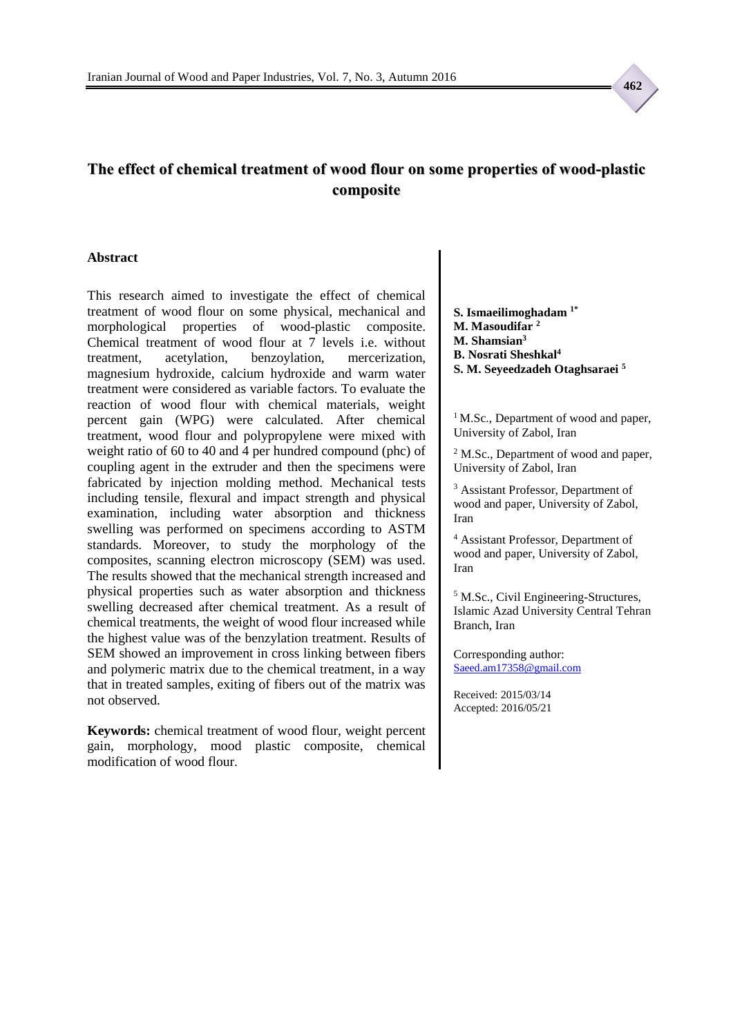## **The effect of chemical treatment of wood flour on some properties of wood-plastic composite**

#### **Abstract**

This research aimed to investigate the effect of chemical treatment of wood flour on some physical, mechanical and morphological properties of wood-plastic composite. Chemical treatment of wood flour at 7 levels i.e. without treatment, acetylation, benzoylation, mercerization, magnesium hydroxide, calcium hydroxide and warm water treatment were considered as variable factors. To evaluate the reaction of wood flour with chemical materials, weight percent gain (WPG) were calculated. After chemical treatment, wood flour and polypropylene were mixed with weight ratio of 60 to 40 and 4 per hundred compound (phc) of coupling agent in the extruder and then the specimens were fabricated by injection molding method. Mechanical tests including tensile, flexural and impact strength and physical examination, including water absorption and thickness swelling was performed on specimens according to ASTM standards. Moreover, to study the morphology of the composites, scanning electron microscopy (SEM) was used. The results showed that the mechanical strength increased and physical properties such as water absorption and thickness swelling decreased after chemical treatment. As a result of chemical treatments, the weight of wood flour increased while the highest value was of the benzylation treatment. Results of SEM showed an improvement in cross linking between fibers and polymeric matrix due to the chemical treatment, in a way that in treated samples, exiting of fibers out of the matrix was not observed.

**Keywords:** chemical treatment of wood flour, weight percent gain, morphology, mood plastic composite, chemical modification of wood flour.

**S. Ismaeilimoghadam 1\* M. Masoudifar <sup>2</sup> M. Shamsian<sup>3</sup> B. Nosrati Sheshkal<sup>4</sup> S. M. Seyeedzadeh Otaghsaraei <sup>5</sup>**

<sup>1</sup>M.Sc., Department of wood and paper, University of Zabol, Iran

<sup>2</sup> M.Sc., Department of wood and paper, University of Zabol, Iran

<sup>3</sup> Assistant Professor, Department of wood and paper, University of Zabol, Iran

<sup>4</sup> Assistant Professor, Department of wood and paper, University of Zabol, Iran

<sup>5</sup> M.Sc., Civil Engineering-Structures, Islamic Azad University Central Tehran Branch, Iran

Corresponding author: [Saeed.am17358@gmail.com](mailto:Saeed.am17358@gmail.com)

Received: 2015/03/14 Accepted: 2016/05/21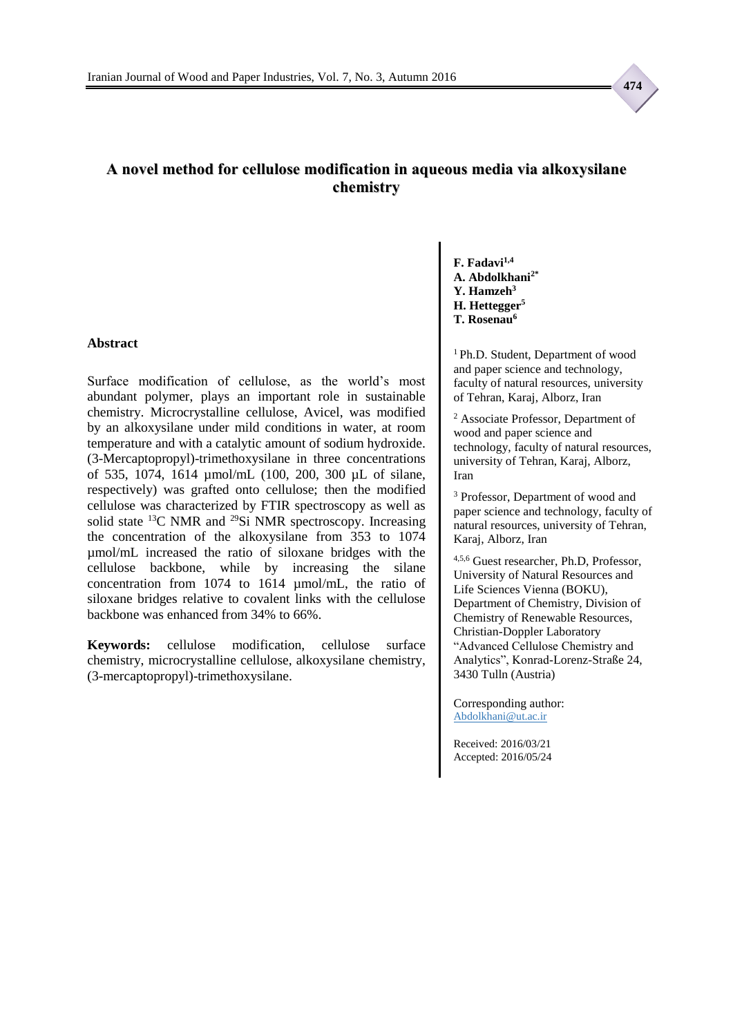### **A novel method for cellulose modification in aqueous media via alkoxysilane chemistry**

### **Abstract**

Surface modification of cellulose, as the world's most abundant polymer, plays an important role in sustainable chemistry. Microcrystalline cellulose, Avicel, was modified by an alkoxysilane under mild conditions in water, at room temperature and with a catalytic amount of sodium hydroxide. (3-Mercaptopropyl)-trimethoxysilane in three concentrations of 535, 1074, 1614 µmol/mL (100, 200, 300 µL of silane, respectively) was grafted onto cellulose; then the modified cellulose was characterized by FTIR spectroscopy as well as solid state <sup>13</sup>C NMR and <sup>29</sup>Si NMR spectroscopy. Increasing the concentration of the alkoxysilane from 353 to 1074 µmol/mL increased the ratio of siloxane bridges with the cellulose backbone, while by increasing the silane concentration from 1074 to 1614 µmol/mL, the ratio of siloxane bridges relative to covalent links with the cellulose backbone was enhanced from 34% to 66%.

**Keywords:** cellulose modification, cellulose surface chemistry, microcrystalline cellulose, alkoxysilane chemistry, (3-mercaptopropyl)-trimethoxysilane.

**F. Fadavi1,4 A. Abdolkhani2\* Y. Hamzeh<sup>3</sup> H. Hettegger<sup>5</sup> T. Rosenau<sup>6</sup>**

<sup>1</sup> Ph.D. Student, Department of wood and paper science and technology, faculty of natural resources, university of Tehran, Karaj, Alborz, Iran

<sup>2</sup> Associate Professor, Department of wood and paper science and technology, faculty of natural resources, university of Tehran, Karaj, Alborz, Iran

<sup>3</sup> Professor, Department of wood and paper science and technology, faculty of natural resources, university of Tehran, Karaj, Alborz, Iran

4,5,6 Guest researcher, Ph.D, Professor, University of Natural Resources and Life Sciences Vienna (BOKU), Department of Chemistry, Division of Chemistry of Renewable Resources, Christian-Doppler Laboratory "Advanced Cellulose Chemistry and Analytics", Konrad-Lorenz-Straße 24, 3430 Tulln (Austria)

Corresponding author: Abdolkhani@ut.ac.ir

Received: 2016/03/21 Accepted: 2016/05/24